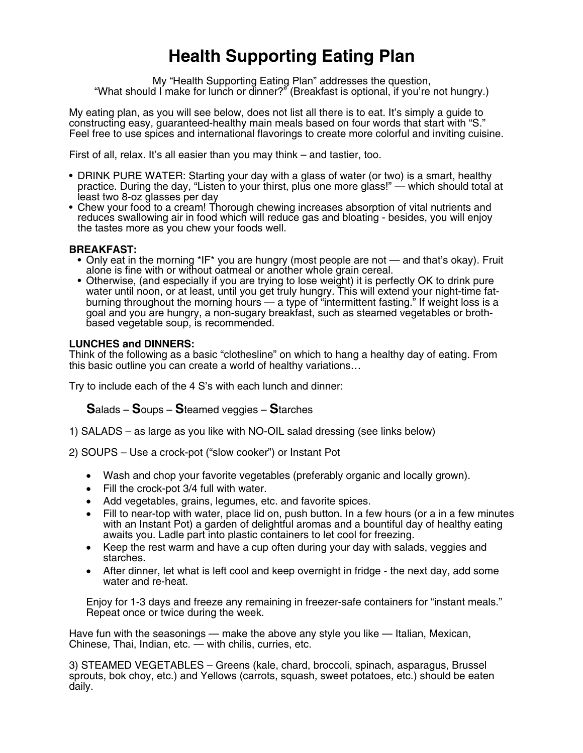## **Health Supporting Eating Plan**

My "Health Supporting Eating Plan" addresses the question, "What should I make for lunch or dinner?" (Breakfast is optional, if you're not hungry.)

My eating plan, as you will see below, does not list all there is to eat. It's simply a guide to constructing easy, guaranteed-healthy main meals based on four words that start with "S." Feel free to use spices and international flavorings to create more colorful and inviting cuisine.

First of all, relax. It's all easier than you may think – and tastier, too.

- DRINK PURE WATER: Starting your day with a glass of water (or two) is a smart, healthy practice. During the day, "Listen to your thirst, plus one more glass!" — which should total at least two 8-oz glasses per day
- Chew your food to a cream! Thorough chewing increases absorption of vital nutrients and reduces swallowing air in food which will reduce gas and bloating - besides, you will enjoy the tastes more as you chew your foods well.

## **BREAKFAST:**

- Only eat in the morning \*IF\* you are hungry (most people are not and that's okay). Fruit alone is fine with or without oatmeal or another whole grain cereal.
- Otherwise, (and especially if you are trying to lose weight) it is perfectly OK to drink pure water until noon, or at least, until you get truly hungry. This will extend your night-time fatburning throughout the morning hours — a type of "intermittent fasting." If weight loss is a goal and you are hungry, <sup>a</sup> non-sugary breakfast, such as steamed vegetables or broth- based vegetable soup, is recommended.

## **LUNCHES and DINNERS:**

Think of the following as a basic "clothesline" on which to hang a healthy day of eating. From this basic outline you can create a world of healthy variations…

Try to include each of the 4 S's with each lunch and dinner:

**S**alads – **S**oups – **S**teamed veggies – **S**tarches

1) SALADS – as large as you like with NO-OIL salad dressing (see links below)

2) SOUPS – Use a crock-pot ("slow cooker") or Instant Pot

- Wash and chop your favorite vegetables (preferably organic and locally grown).
- Fill the crock-pot 3/4 full with water.
- Add vegetables, grains, legumes, etc. and favorite spices.
- Fill to near-top with water, place lid on, push button. In a few hours (or a in a few minutes with an Instant Pot) a garden of delightful aromas and a bountiful day of healthy eating awaits you. Ladle part into plastic containers to let cool for freezing.
- Keep the rest warm and have a cup often during your day with salads, veggies and starches.
- After dinner, let what is left cool and keep overnight in fridge the next day, add some water and re-heat.

Enjoy for 1-3 days and freeze any remaining in freezer-safe containers for "instant meals." Repeat once or twice during the week.

Have fun with the seasonings — make the above any style you like — Italian, Mexican, Chinese, Thai, Indian, etc. — with chilis, curries, etc.

3) STEAMED VEGETABLES – Greens (kale, chard, broccoli, spinach, asparagus, Brussel sprouts, bok choy, etc.) and Yellows (carrots, squash, sweet potatoes, etc.) should be eaten daily.